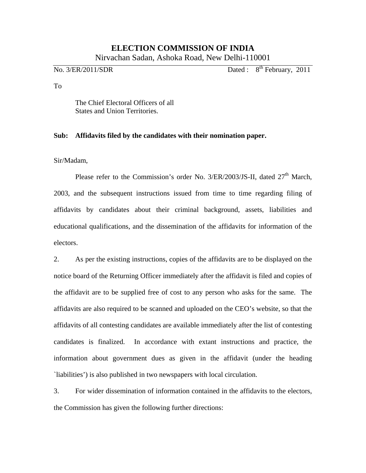## **ELECTION COMMISSION OF INDIA**

Nirvachan Sadan, Ashoka Road, New Delhi-110001

 $\overline{N_0}$ . 3/ER/2011/SDR Dated :  $8^{th}$  February, 2011

To

The Chief Electoral Officers of all States and Union Territories.

## **Sub: Affidavits filed by the candidates with their nomination paper.**

Sir/Madam,

Please refer to the Commission's order No.  $3/ER/2003/JS$ -II, dated  $27<sup>th</sup>$  March, 2003, and the subsequent instructions issued from time to time regarding filing of affidavits by candidates about their criminal background, assets, liabilities and educational qualifications, and the dissemination of the affidavits for information of the electors.

2. As per the existing instructions, copies of the affidavits are to be displayed on the notice board of the Returning Officer immediately after the affidavit is filed and copies of the affidavit are to be supplied free of cost to any person who asks for the same. The affidavits are also required to be scanned and uploaded on the CEO's website, so that the affidavits of all contesting candidates are available immediately after the list of contesting candidates is finalized. In accordance with extant instructions and practice, the information about government dues as given in the affidavit (under the heading `liabilities') is also published in two newspapers with local circulation.

3. For wider dissemination of information contained in the affidavits to the electors, the Commission has given the following further directions: